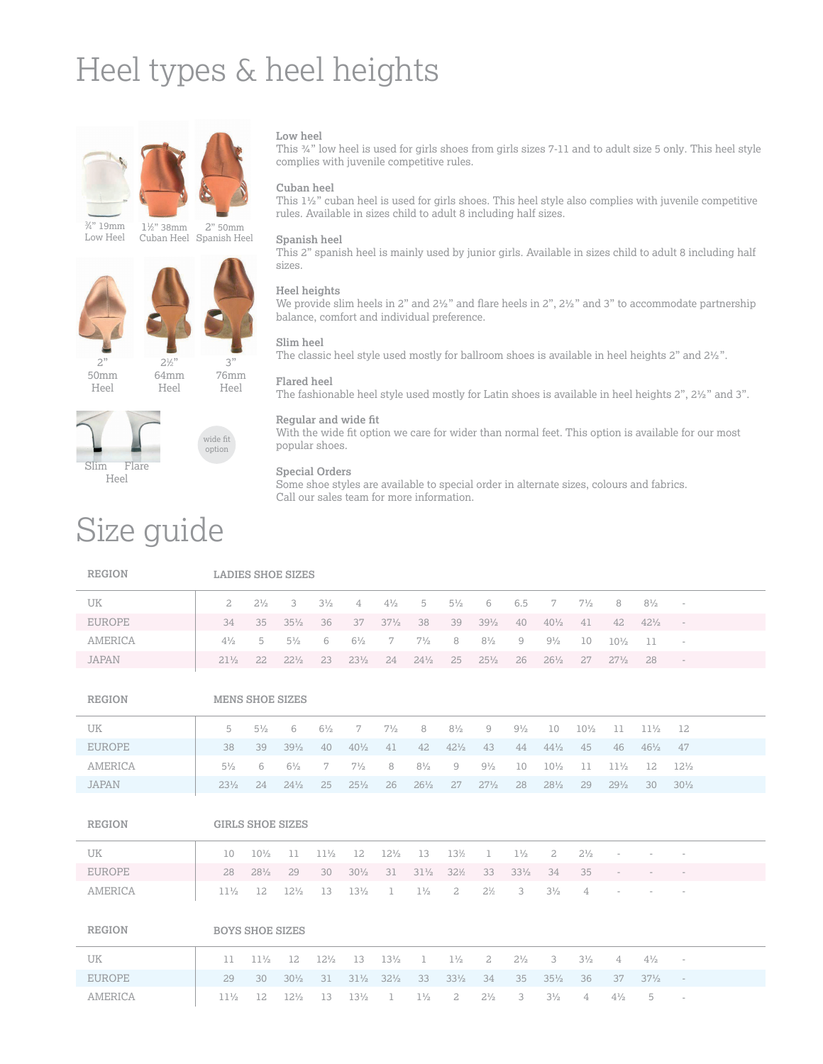# Heel types & heel heights



 ⁄4" 19mm Low Heel

2" 50mm Cuban Heel Spanish Heel ⁄2" 38mm





wide fit

76mm Heel

2" 50mm Heel

64mm



# option

# Size guide

#### **Low heel**

This ¾" low heel is used for girls shoes from girls sizes 7-11 and to adult size 5 only. This heel style complies with juvenile competitive rules.

#### **Cuban heel**

This 1½" cuban heel is used for girls shoes. This heel style also complies with juvenile competitive rules. Available in sizes child to adult 8 including half sizes.

#### **Spanish heel**

This 2" spanish heel is mainly used by junior girls. Available in sizes child to adult 8 including half sizes.

#### **Heel heights**

We provide slim heels in 2" and  $2\frac{1}{2}$ " and flare heels in 2",  $2\frac{1}{2}$ " and 3" to accommodate partnership balance, comfort and individual preference.

#### **Slim heel**

The classic heel style used mostly for ballroom shoes is available in heel heights 2" and 2½".

### **Flared heel**

The fashionable heel style used mostly for Latin shoes is available in heel heights 2", 2½" and 3".

#### **Regular and wide fit**

With the wide fit option we care for wider than normal feet. This option is available for our most popular shoes.

### **Special Orders**

Some shoe styles are available to special order in alternate sizes, colours and fabrics. Call our sales team for more information.

| <b>REGION</b>  | <b>LADIES SHOE SIZES</b> |                 |                        |                 |                 |                 |                 |                 |                 |                 |                 |                 |                 |                 |                          |  |
|----------------|--------------------------|-----------------|------------------------|-----------------|-----------------|-----------------|-----------------|-----------------|-----------------|-----------------|-----------------|-----------------|-----------------|-----------------|--------------------------|--|
| <b>UK</b>      | $\overline{a}$           | $2^{1/2}$       | 3                      | $3\frac{1}{2}$  | 4               | $4\frac{1}{2}$  | 5               | $5\frac{1}{2}$  | 6               | 6.5             | 7               | $7\frac{1}{2}$  | 8               | $8\frac{1}{2}$  | $\overline{\phantom{a}}$ |  |
| <b>EUROPE</b>  | 34                       | 35              | $35\frac{1}{2}$        | 36              | 37              | $37\frac{1}{2}$ | 38              | 39              | $39\frac{1}{2}$ | 40              | $40\frac{1}{2}$ | 41              | 42              | $42\frac{1}{2}$ | $\overline{\phantom{a}}$ |  |
| <b>AMERICA</b> | $4\frac{1}{2}$           | 5               | $5\frac{1}{2}$         | 6               | $6\frac{1}{2}$  | 7               | $7\frac{1}{2}$  | 8               | $8\frac{1}{2}$  | 9               | $9\frac{1}{2}$  | 10              | $10\frac{1}{2}$ | 11              | $\overline{\phantom{a}}$ |  |
| <b>JAPAN</b>   | $21\frac{1}{2}$          | 22              | $22\frac{1}{2}$        | 23              | $23\frac{1}{2}$ | 24              | $24\frac{1}{2}$ | 25              | $25\frac{1}{2}$ | 26              | $26\frac{1}{2}$ | 27              | $27\frac{1}{2}$ | 28              | $\overline{\phantom{a}}$ |  |
| <b>REGION</b>  |                          |                 | <b>MENS SHOE SIZES</b> |                 |                 |                 |                 |                 |                 |                 |                 |                 |                 |                 |                          |  |
| <b>UK</b>      | 5                        | $5\frac{1}{2}$  | 6                      | $6\frac{1}{2}$  | 7               | $7\frac{1}{2}$  | 8               | $8\frac{1}{2}$  | $\mathcal{G}$   | $9\frac{1}{2}$  | 10              | $10\frac{1}{2}$ | 11              | $11\frac{1}{2}$ | 12                       |  |
| <b>EUROPE</b>  | 38                       | 39              | $39\frac{1}{2}$        | 40              | $40\frac{1}{2}$ | 41              | 42              | $42\frac{1}{2}$ | 43              | 44              | $44\frac{1}{2}$ | 45              | 46              | $46\frac{1}{2}$ | 47                       |  |
| <b>AMERICA</b> | $5\frac{1}{2}$           | 6               | $6\frac{1}{2}$         | 7               | $7\frac{1}{2}$  | 8               | $8\frac{1}{2}$  | 9               | $9\frac{1}{2}$  | 10              | $10\frac{1}{2}$ | 11              | $11\frac{1}{2}$ | 12              | $12\frac{1}{2}$          |  |
| <b>JAPAN</b>   | $23\frac{1}{2}$          | 24              | $24\frac{1}{2}$        | 25              | $25\frac{1}{2}$ | 26              | $26\frac{1}{2}$ | 27              | $27\frac{1}{2}$ | 28              | $28\frac{1}{2}$ | 29              | $29\frac{1}{2}$ | 30              | $30\frac{1}{2}$          |  |
| <b>REGION</b>  | <b>GIRLS SHOE SIZES</b>  |                 |                        |                 |                 |                 |                 |                 |                 |                 |                 |                 |                 |                 |                          |  |
| <b>UK</b>      | 10                       | $10\frac{1}{2}$ | 11                     | $11\frac{1}{2}$ | 12              | $12\frac{1}{2}$ | 13              | 13½             | $\mathbf 1$     | $1\frac{1}{2}$  | $\mathbf{2}$    | $2^{1/2}$       |                 |                 |                          |  |
| <b>EUROPE</b>  | 28                       | $28\frac{1}{2}$ | 29                     | 30              | $30\frac{1}{2}$ | 31              | $31\frac{1}{2}$ | $32\frac{1}{2}$ | 33              | $33\frac{1}{2}$ | 34              | 35              |                 |                 |                          |  |
| <b>AMERICA</b> | $11\frac{1}{2}$          | 12              | $12\frac{1}{2}$        | 13              | $13\frac{1}{2}$ | $\mathbf 1$     | $1\frac{1}{2}$  | $\mathbf{2}$    | $2\frac{1}{2}$  | 3               | $3\frac{1}{2}$  | 4               |                 |                 |                          |  |
| <b>REGION</b>  |                          |                 | <b>BOYS SHOE SIZES</b> |                 |                 |                 |                 |                 |                 |                 |                 |                 |                 |                 |                          |  |
| UK             | 11                       | $11\frac{1}{2}$ | 12                     | $12\frac{1}{2}$ | 13              | $13\frac{1}{2}$ | 1               | $1\frac{1}{2}$  | $\overline{a}$  | $2^{1/2}$       | 3               | $3\frac{1}{2}$  | $\overline{4}$  | $4\frac{1}{2}$  | $\overline{\phantom{a}}$ |  |
| <b>EUROPE</b>  | 29                       | 30              | $30\frac{1}{2}$        | 31              | $31\frac{1}{2}$ | $32\frac{1}{2}$ | 33              | $33\frac{1}{2}$ | 34              | 35              | $35\frac{1}{2}$ | 36              | 37              | $37\frac{1}{2}$ | $\overline{\phantom{a}}$ |  |
| <b>AMERICA</b> | $11\frac{1}{2}$          | 12              | $12\frac{1}{2}$        | 13              | $13\frac{1}{2}$ | 1               | $1\frac{1}{2}$  | 2               | $2^{1/2}$       | 3               | $3\frac{1}{2}$  | 4               | $4\frac{1}{2}$  | 5               |                          |  |
|                |                          |                 |                        |                 |                 |                 |                 |                 |                 |                 |                 |                 |                 |                 |                          |  |

### Heel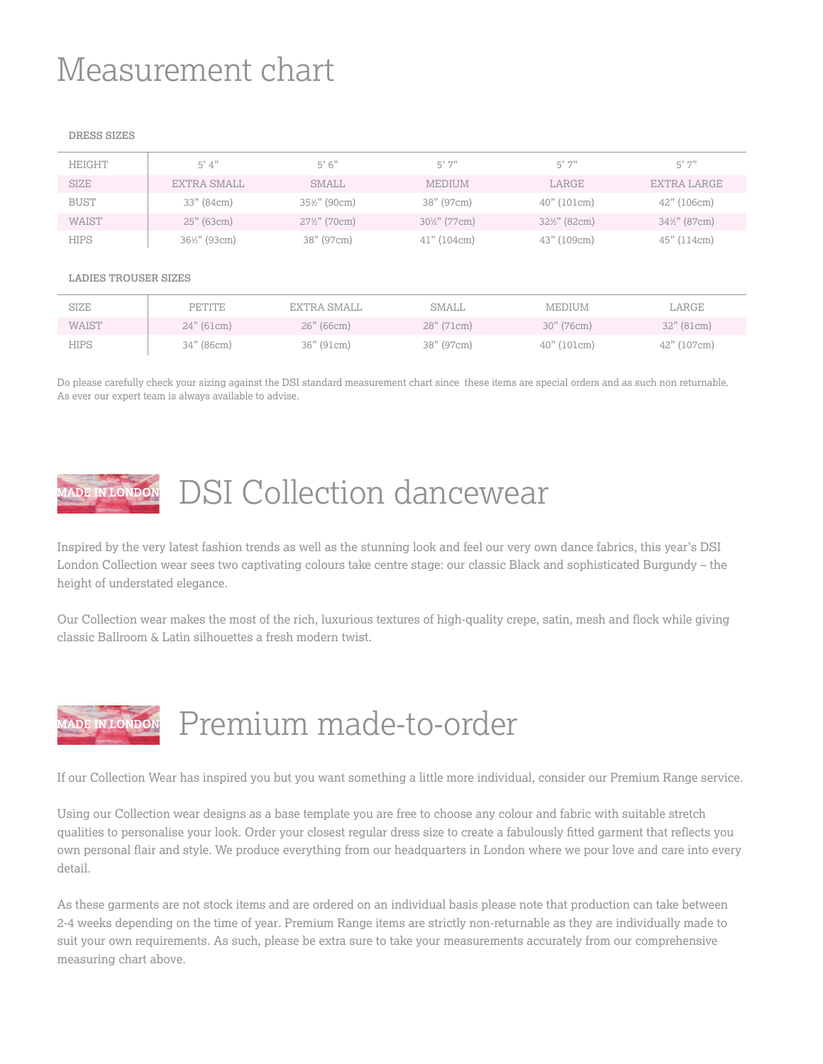# Measurement chart

#### **DRESS SIZES**

| HEIGHT      | 5' 4''       | 5'6''                    | 5'7''                    | 5'7"                     | 5'7"                     |
|-------------|--------------|--------------------------|--------------------------|--------------------------|--------------------------|
| SIZE        | EXTRA SMALL  | SMALL                    | <b>MEDIUM</b>            | LARGE                    | EXTRA LARGE              |
| <b>BUST</b> | 33" (84cm)   | $35\frac{1}{2}$ " (90cm) | 38" (97cm)               | 40" (101cm)              | $42"$ (106cm)            |
| WAIST       | $25"$ (63cm) | $27\frac{1}{2}$ " (70cm) | $30\frac{1}{2}$ " (77cm) | $32\frac{1}{2}$ " (82cm) | $34\frac{1}{2}$ " (87cm) |
| <b>HIPS</b> | 36½" (93cm)  | 38" (97cm)               | $41"$ (104cm)            | 43" (109cm)              | 45" (114cm)              |
|             |              |                          |                          |                          |                          |

#### **LADIES TROUSER SIZES**

| SIZE        | <b>PETITE</b> | EXTRA SMALL | SMALL      | MEDIUM      | LARGE       |
|-------------|---------------|-------------|------------|-------------|-------------|
| WAIST       | $24"$ (61cm)  | 26" (66cm)  | 28" (71cm) | 30" (76cm)  | 32" (81cm)  |
| <b>HIPS</b> | 34" (86cm)    | 36" (91cm)  | 38" (97cm) | 40" (101cm) | 42" (107cm) |

Do please carefully check your sizing against the DSI standard measurement chart since these items are special orders and as such non returnable. As ever our expert team is always available to advise.

# DSI Collection dancewear

Inspired by the very latest fashion trends as well as the stunning look and feel our very own dance fabrics, this year's DSI London Collection wear sees two captivating colours take centre stage: our classic Black and sophisticated Burgundy – the height of understated elegance.

Our Collection wear makes the most of the rich, luxurious textures of high-quality crepe, satin, mesh and flock while giving classic Ballroom & Latin silhouettes a fresh modern twist.

### Premium made-to-order

If our Collection Wear has inspired you but you want something a little more individual, consider our Premium Range service.

Using our Collection wear designs as a base template you are free to choose any colour and fabric with suitable stretch qualities to personalise your look. Order your closest regular dress size to create a fabulously fitted garment that reflects you own personal flair and style. We produce everything from our headquarters in London where we pour love and care into every detail.

As these garments are not stock items and are ordered on an individual basis please note that production can take between 2-4 weeks depending on the time of year. Premium Range items are strictly non-returnable as they are individually made to suit your own requirements. As such, please be extra sure to take your measurements accurately from our comprehensive measuring chart above.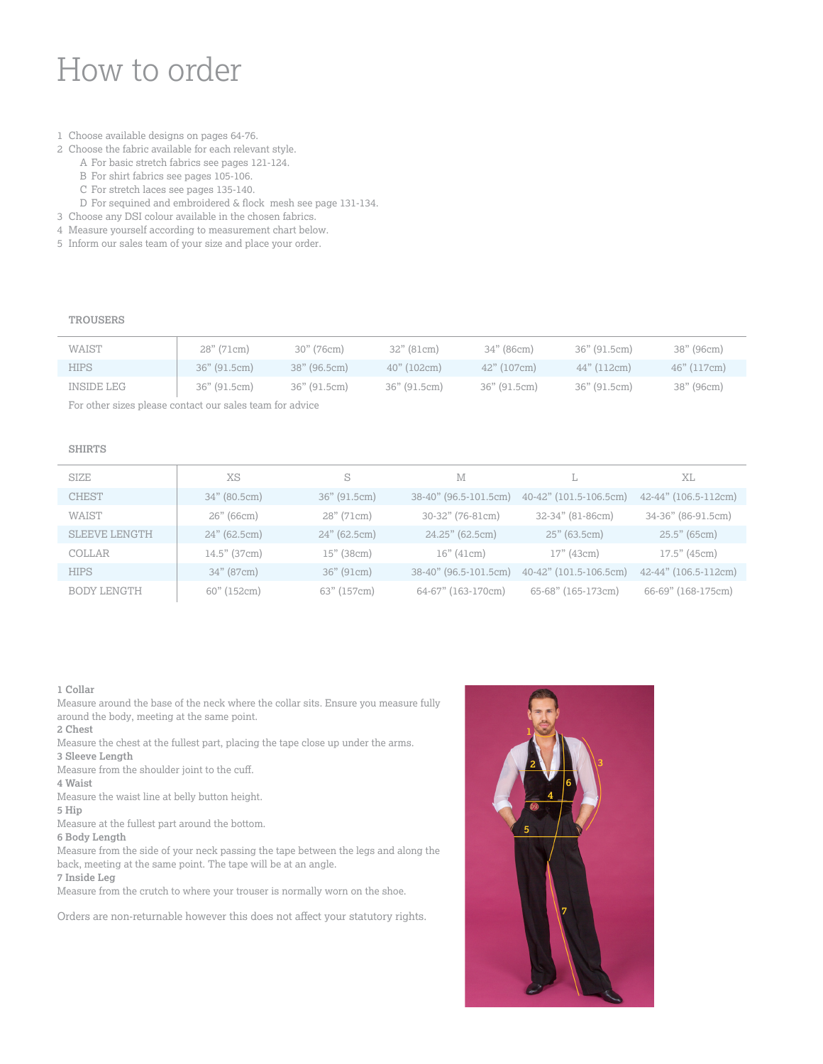### How to order

- 1 Choose available designs on pages 64-76.
- 2 Choose the fabric available for each relevant style. A For basic stretch fabrics see pages 121-124.
	- B For shirt fabrics see pages 105-106.
	- C For stretch laces see pages 135-140.
	- D For sequined and embroidered & flock mesh see page 131-134.
- 3 Choose any DSI colour available in the chosen fabrics.
- 4 Measure yourself according to measurement chart below.
- 5 Inform our sales team of your size and place your order.

#### **TROUSERS**

| WAIST       | 28" (71cm)   | 30" (76cm)   | 32" (81cm)   | 34" (86cm)    | 36" (91.5cm) | 38" (96cm)  |
|-------------|--------------|--------------|--------------|---------------|--------------|-------------|
| <b>HIPS</b> | 36" (91.5cm) | 38" (96.5cm) | 40" (102cm)  | $42"$ (107cm) | 44" (112cm)  | 46" (117cm) |
| INSIDE LEG  | 36" (91.5cm) | 36" (91.5cm) | 36" (91.5cm) | 36" (91.5cm)  | 36" (91.5cm) | 38" (96cm)  |

For other sizes please contact our sales team for advice

#### **SHIRTS**

| XS<br><b>SIZE</b><br>M<br>XL<br>S<br>L.                                                                                 |  |
|-------------------------------------------------------------------------------------------------------------------------|--|
| <b>CHEST</b><br>34" (80.5cm)<br>40-42" (101.5-106.5cm)<br>36" (91.5cm)<br>38-40" (96.5-101.5cm)<br>42-44" (106.5-112cm) |  |
| WAIST<br>30-32" (76-81cm)<br>32-34" (81-86cm)<br>34-36" (86-91.5cm)<br>26" (66cm)<br>28" (71cm)                         |  |
| $25.5"$ (65cm)<br>24" (62.5cm)<br>$24"$ (62.5cm)<br>24.25" (62.5cm)<br>$25"$ (63.5cm)<br><b>SLEEVE LENGTH</b>           |  |
| $17.5"$ (45cm)<br>$14.5"$ (37cm)<br>$15"$ (38 $cm$ )<br>16" (41cm)<br>17" (43cm)<br>COLLAR                              |  |
| <b>HIPS</b><br>42-44" (106.5-112cm)<br>34" (87cm)<br>40-42" (101.5-106.5cm)<br>36" (91cm)<br>38-40" (96.5-101.5cm)      |  |
| 65-68" (165-173cm)<br>60" (152cm)<br>63" (157cm)<br>64-67" (163-170cm)<br>66-69" (168-175cm)<br>BODY LENGTH             |  |

#### **1 Collar**

Measure around the base of the neck where the collar sits. Ensure you measure fully around the body, meeting at the same point.

- **2 Chest**
- Measure the chest at the fullest part, placing the tape close up under the arms.
- **3 Sleeve Length**
- Measure from the shoulder joint to the cuff.
- **4 Waist**
- Measure the waist line at belly button height.
- **5 Hip**
- Measure at the fullest part around the bottom.
- **6 Body Length**
- Measure from the side of your neck passing the tape between the legs and along the back, meeting at the same point. The tape will be at an angle.
- **7 Inside Leg**

Measure from the crutch to where your trouser is normally worn on the shoe.

Orders are non-returnable however this does not affect your statutory rights.